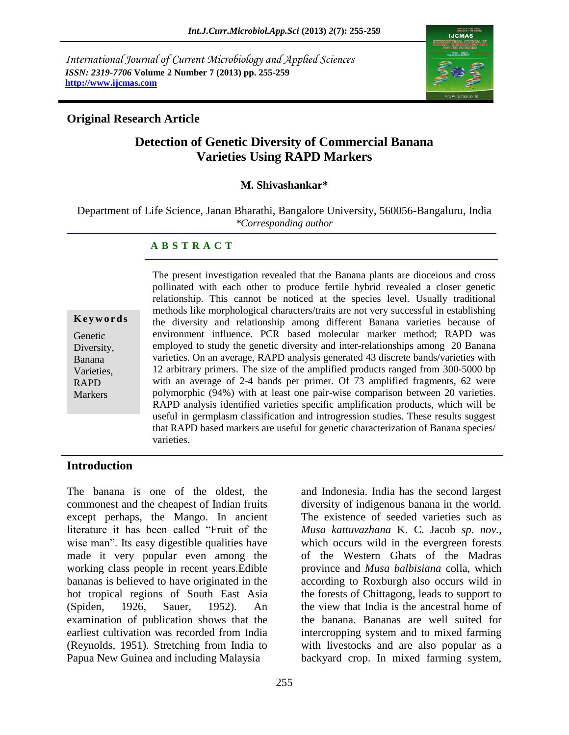*International Journal of Current Microbiology and Applied Sciences ISSN: 2319-7706* **Volume 2 Number 7 (2013) pp. 255-259 http://www.ijcmas.com**



### **Original Research Article**

# **Detection of Genetic Diversity of Commercial Banana Varieties Using RAPD Markers**

#### **M. Shivashankar\***

Department of Life Science, Janan Bharathi, Bangalore University, 560056-Bangaluru, India *\*Corresponding author*

#### **A B S T R A C T**

**K e y w o r d s**

Genetic Diversity, Banana Varieties, RAPD **Markers** 

The present investigation revealed that the Banana plants are dioceious and cross pollinated with each other to produce fertile hybrid revealed a closer genetic relationship. This cannot be noticed at the species level. Usually traditional methods like morphological characters/traits are not very successful in establishing the diversity and relationship among different Banana varieties because of environment influence. PCR based molecular marker method; RAPD was employed to study the genetic diversity and inter-relationships among 20 Banana varieties. On an average, RAPD analysis generated 43 discrete bands/varieties with 12 arbitrary primers. The size of the amplified products ranged from 300-5000 bp with an average of 2-4 bands per primer. Of 73 amplified fragments, 62 were polymorphic (94%) with at least one pair-wise comparison between 20 varieties. RAPD analysis identified varieties specific amplification products, which will be useful in germplasm classification and introgression studies. These results suggest that RAPD based markers are useful for genetic characterization of Banana species/ varieties.

### **Introduction**

The banana is one of the oldest, the commonest and the cheapest of Indian fruits except perhaps, the Mango. In ancient literature it has been called "Fruit of the wise man". Its easy digestible qualities have made it very popular even among the working class people in recent years.Edible bananas is believed to have originated in the hot tropical regions of South East Asia (Spiden, 1926, Sauer, 1952). An examination of publication shows that the earliest cultivation was recorded from India (Reynolds, 1951). Stretching from India to Papua New Guinea and including Malaysia

and Indonesia. India has the second largest diversity of indigenous banana in the world. The existence of seeded varieties such as *Musa kattuvazhana* K. C. Jacob *sp. nov.*, which occurs wild in the evergreen forests of the Western Ghats of the Madras province and *Musa balbisiana* colla, which according to Roxburgh also occurs wild in the forests of Chittagong, leads to support to the view that India is the ancestral home of the banana. Bananas are well suited for intercropping system and to mixed farming with livestocks and are also popular as a backyard crop. In mixed farming system,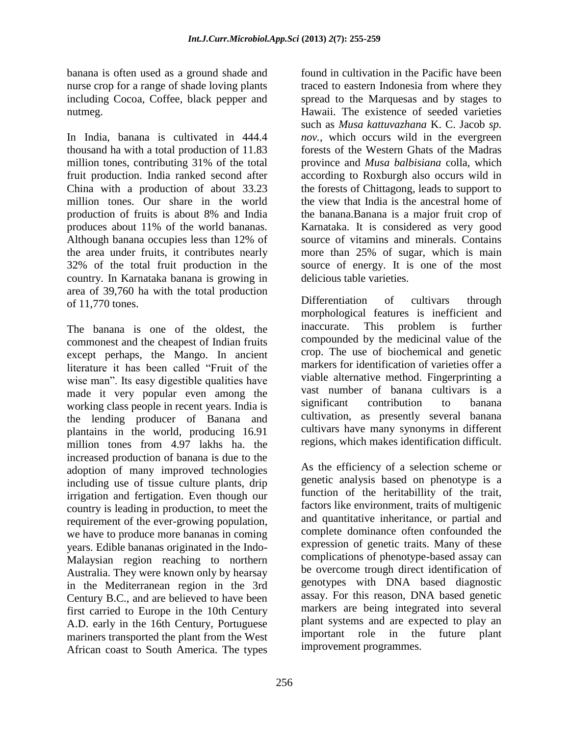banana is often used as a ground shade and nurse crop for a range of shade loving plants including Cocoa, Coffee, black pepper and nutmeg.

In India, banana is cultivated in 444.4 thousand ha with a total production of 11.83 million tones, contributing 31% of the total fruit production. India ranked second after China with a production of about 33.23 million tones. Our share in the world production of fruits is about 8% and India produces about 11% of the world bananas. Although banana occupies less than 12% of the area under fruits, it contributes nearly 32% of the total fruit production in the country. In Karnataka banana is growing in area of 39,760 ha with the total production of 11,770 tones.

The banana is one of the oldest, the commonest and the cheapest of Indian fruits except perhaps, the Mango. In ancient literature it has been called "Fruit of the wise man". Its easy digestible qualities have made it very popular even among the working class people in recent years. India is the lending producer of Banana and plantains in the world, producing 16.91 million tones from 4.97 lakhs ha. the increased production of banana is due to the adoption of many improved technologies including use of tissue culture plants, drip irrigation and fertigation. Even though our country is leading in production, to meet the requirement of the ever-growing population, we have to produce more bananas in coming years. Edible bananas originated in the Indo-Malaysian region reaching to northern Australia. They were known only by hearsay in the Mediterranean region in the 3rd Century B.C., and are believed to have been first carried to Europe in the 10th Century A.D. early in the 16th Century, Portuguese mariners transported the plant from the West African coast to South America. The types

found in cultivation in the Pacific have been traced to eastern Indonesia from where they spread to the Marquesas and by stages to Hawaii. The existence of seeded varieties such as *Musa kattuvazhana* K. C. Jacob *sp. nov.*, which occurs wild in the evergreen forests of the Western Ghats of the Madras province and *Musa balbisiana* colla, which according to Roxburgh also occurs wild in the forests of Chittagong, leads to support to the view that India is the ancestral home of the banana.Banana is a major fruit crop of Karnataka. It is considered as very good source of vitamins and minerals. Contains more than 25% of sugar, which is main source of energy. It is one of the most delicious table varieties.

Differentiation of cultivars through morphological features is inefficient and inaccurate. This problem is further compounded by the medicinal value of the crop. The use of biochemical and genetic markers for identification of varieties offer a viable alternative method. Fingerprinting a vast number of banana cultivars is a significant contribution to banana cultivation, as presently several banana cultivars have many synonyms in different regions, which makes identification difficult.

As the efficiency of a selection scheme or genetic analysis based on phenotype is a function of the heritabillity of the trait, factors like environment, traits of multigenic and quantitative inheritance, or partial and complete dominance often confounded the expression of genetic traits. Many of these complications of phenotype-based assay can be overcome trough direct identification of genotypes with DNA based diagnostic assay. For this reason, DNA based genetic markers are being integrated into several plant systems and are expected to play an important role in the future plant improvement programmes.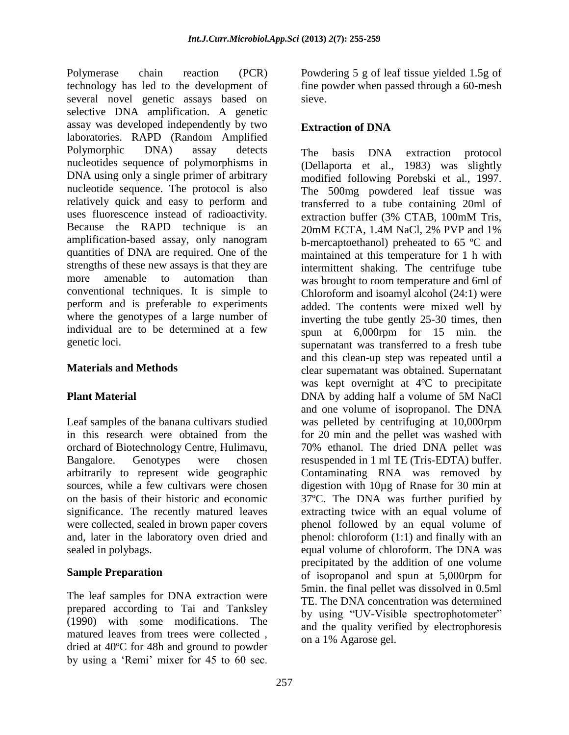Polymerase chain reaction (PCR) technology has led to the development of several novel genetic assays based on selective DNA amplification. A genetic assay was developed independently by two laboratories. RAPD (Random Amplified Polymorphic DNA) assay detects nucleotides sequence of polymorphisms in DNA using only a single primer of arbitrary nucleotide sequence. The protocol is also relatively quick and easy to perform and uses fluorescence instead of radioactivity. Because the RAPD technique is an amplification-based assay, only nanogram quantities of DNA are required. One of the strengths of these new assays is that they are more amenable to automation than conventional techniques. It is simple to perform and is preferable to experiments where the genotypes of a large number of individual are to be determined at a few genetic loci.

### **Materials and Methods**

### **Plant Material**

Leaf samples of the banana cultivars studied in this research were obtained from the orchard of Biotechnology Centre, Hulimavu, Bangalore. Genotypes were chosen arbitrarily to represent wide geographic sources, while a few cultivars were chosen on the basis of their historic and economic significance. The recently matured leaves were collected, sealed in brown paper covers and, later in the laboratory oven dried and sealed in polybags.

### **Sample Preparation**

The leaf samples for DNA extraction were prepared according to Tai and Tanksley (1990) with some modifications. The matured leaves from trees were collected , dried at 40ºC for 48h and ground to powder by using a "Remi" mixer for 45 to 60 sec.

Powdering 5 g of leaf tissue yielded 1.5g of fine powder when passed through a 60-mesh sieve.

## **Extraction of DNA**

The basis DNA extraction protocol (Dellaporta et al., 1983) was slightly modified following Porebski et al., 1997. The 500mg powdered leaf tissue was transferred to a tube containing 20ml of extraction buffer (3% CTAB, 100mM Tris, 20mM ECTA, 1.4M NaCl, 2% PVP and 1% b-mercaptoethanol) preheated to 65 ºC and maintained at this temperature for 1 h with intermittent shaking. The centrifuge tube was brought to room temperature and 6ml of Chloroform and isoamyl alcohol (24:1) were added. The contents were mixed well by inverting the tube gently 25-30 times, then spun at 6,000rpm for 15 min. the supernatant was transferred to a fresh tube and this clean-up step was repeated until a clear supernatant was obtained. Supernatant was kept overnight at 4ºC to precipitate DNA by adding half a volume of 5M NaCl and one volume of isopropanol. The DNA was pelleted by centrifuging at 10,000rpm for 20 min and the pellet was washed with 70% ethanol. The dried DNA pellet was resuspended in 1 ml TE (Tris-EDTA) buffer. Contaminating RNA was removed by digestion with 10µg of Rnase for 30 min at 37ºC. The DNA was further purified by extracting twice with an equal volume of phenol followed by an equal volume of phenol: chloroform (1:1) and finally with an equal volume of chloroform. The DNA was precipitated by the addition of one volume of isopropanol and spun at 5,000rpm for 5min. the final pellet was dissolved in 0.5ml TE. The DNA concentration was determined by using "UV-Visible spectrophotometer" and the quality verified by electrophoresis on a 1% Agarose gel.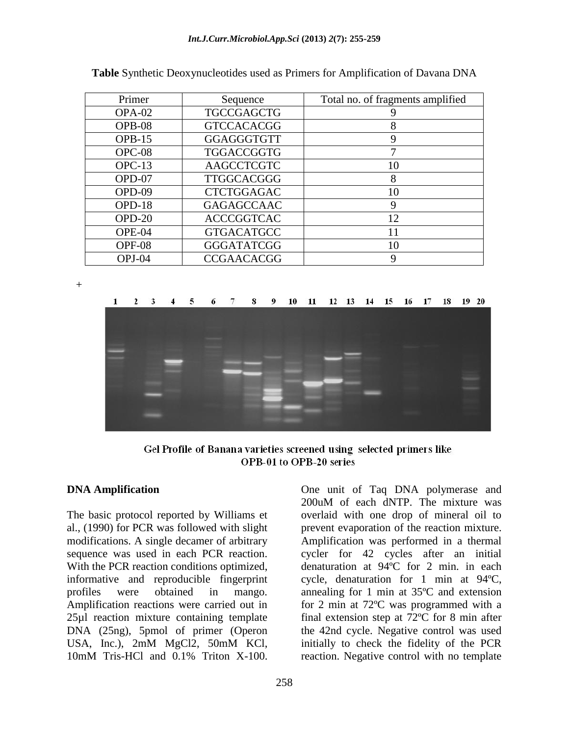| Primer   | Sequence          | Total no. of fragments amplified |
|----------|-------------------|----------------------------------|
| OPA-02   | <b>TGCCGAGCTG</b> |                                  |
| OPB-08   | <b>GTCCACACGG</b> | 8                                |
| $OPB-15$ | GGAGGGTGTT        | 9                                |
| $OPC-08$ | <b>TGGACCGGTG</b> |                                  |
| $OPC-13$ | <b>AAGCCTCGTC</b> | 10                               |
| OPD-07   | <b>TTGGCACGGG</b> | 8                                |
| OPD-09   | <b>CTCTGGAGAC</b> | 10                               |
| $OPD-18$ | <b>GAGAGCCAAC</b> | 9                                |
| $OPD-20$ | <b>ACCCGGTCAC</b> | 12                               |
| OPE-04   | <b>GTGACATGCC</b> | 11                               |
| OPF-08   | <b>GGGATATCGG</b> | 10                               |
| OPJ-04   | <b>CCGAACACGG</b> | 9                                |

**Table** Synthetic Deoxynucleotides used as Primers for Amplification of Davana DNA

+



Gel Profile of Banana varieties screened using selected primers like OPB-01 to OPB-20 series

#### **DNA Amplification**

The basic protocol reported by Williams et al., (1990) for PCR was followed with slight modifications. A single decamer of arbitrary sequence was used in each PCR reaction. With the PCR reaction conditions optimized, informative and reproducible fingerprint profiles were obtained in mango. Amplification reactions were carried out in 25µl reaction mixture containing template DNA (25ng), 5pmol of primer (Operon USA, Inc.), 2mM MgCl2, 50mM KCl, 10mM Tris-HCl and 0.1% Triton X-100.

One unit of Taq DNA polymerase and 200uM of each dNTP. The mixture was overlaid with one drop of mineral oil to prevent evaporation of the reaction mixture. Amplification was performed in a thermal cycler for 42 cycles after an initial denaturation at 94ºC for 2 min. in each cycle, denaturation for 1 min at 94ºC, annealing for 1 min at 35ºC and extension for 2 min at 72ºC was programmed with a final extension step at 72ºC for 8 min after the 42nd cycle. Negative control was used initially to check the fidelity of the PCR reaction. Negative control with no template